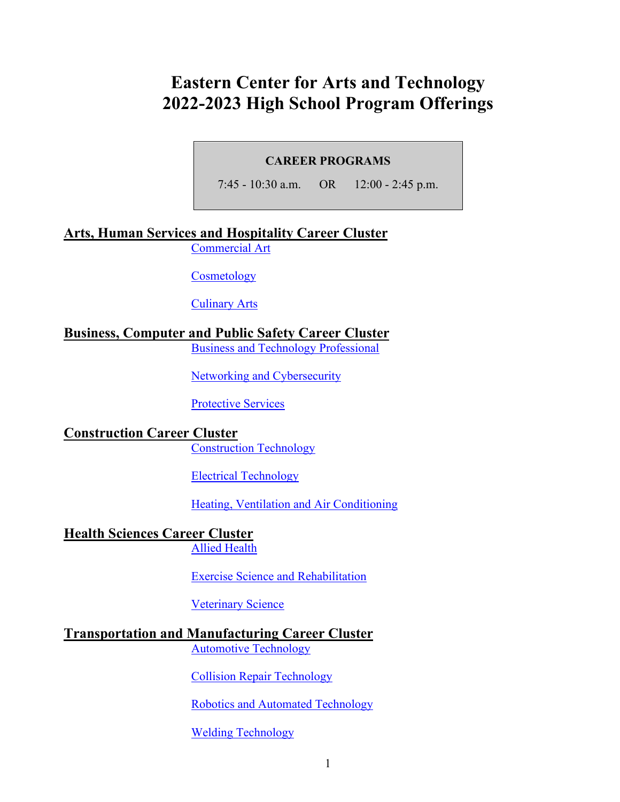# **Eastern Center for Arts and Technology 2022-2023 High School Program Offerings**

#### **CAREER PROGRAMS**

7:45 - 10:30 a.m. OR 12:00 - 2:45 p.m.

### **Arts, Human Services and Hospitality Career Cluster**

[Commercial Art](#page-2-0)

**[Cosmetology](#page-2-1)** 

[Culinary Arts](#page-3-0)

### **Business, Computer and Public Safety Career Cluster**

[Business and Technology Professional](#page-4-0)

[Networking and Cybersecurity](#page-4-1)

[Protective Services](#page-5-0)

# **Construction Career Cluster**

[Construction Technology](#page-6-0)

[Electrical Technology](#page-6-1)

[Heating, Ventilation and Air Conditioning](#page-7-0)

#### **Health Sciences Career Cluster** Allied [Health](#page-8-0)

Exercise [Science and Rehabilitation](#page-8-1)

[Veterinary Science](#page-9-0)

# **Transportation and Manufacturing Career Cluster**

[Automotive Technology](#page-10-0)

[Collision Repair Technology](#page-11-0)

[Robotics and Automated Technology](#page-11-1)

[Welding Technology](#page-12-0)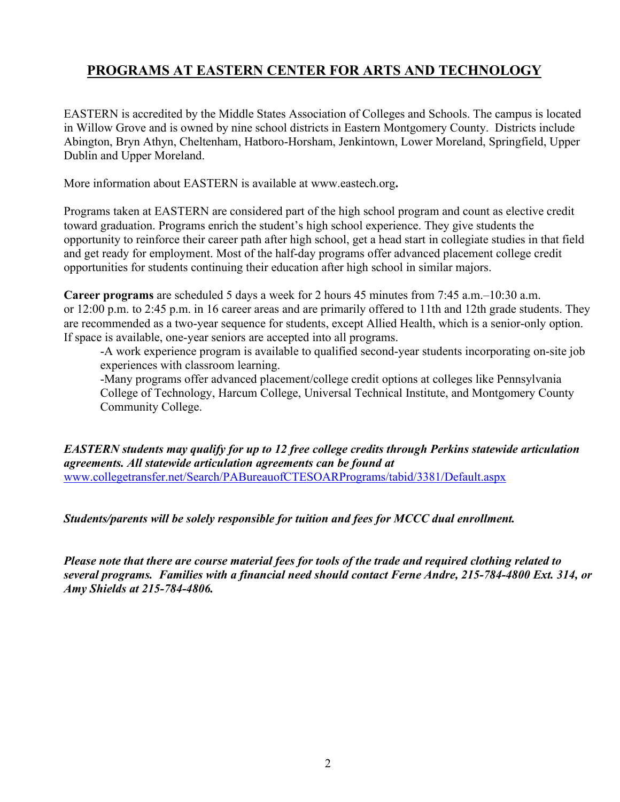# **PROGRAMS AT EASTERN CENTER FOR ARTS AND TECHNOLOGY**

EASTERN is accredited by the Middle States Association of Colleges and Schools. The campus is located in Willow Grove and is owned by nine school districts in Eastern Montgomery County. Districts include Abington, Bryn Athyn, Cheltenham, Hatboro-Horsham, Jenkintown, Lower Moreland, Springfield, Upper Dublin and Upper Moreland.

More information about EASTERN is available at www.eastech.org**.**

Programs taken at EASTERN are considered part of the high school program and count as elective credit toward graduation. Programs enrich the student's high school experience. They give students the opportunity to reinforce their career path after high school, get a head start in collegiate studies in that field and get ready for employment. Most of the half-day programs offer advanced placement college credit opportunities for students continuing their education after high school in similar majors.

**Career programs** are scheduled 5 days a week for 2 hours 45 minutes from 7:45 a.m.–10:30 a.m. or 12:00 p.m. to 2:45 p.m. in 16 career areas and are primarily offered to 11th and 12th grade students. They are recommended as a two-year sequence for students, except Allied Health, which is a senior-only option. If space is available, one-year seniors are accepted into all programs.

-A work experience program is available to qualified second-year students incorporating on-site job experiences with classroom learning.

-Many programs offer advanced placement/college credit options at colleges like Pennsylvania College of Technology, Harcum College, Universal Technical Institute, and Montgomery County Community College.

*EASTERN students may qualify for up to 12 free college credits through Perkins statewide articulation agreements. All statewide articulation agreements can be found at*  [www.collegetransfer.net/Search/PABureauofCTESOARPrograms/tabid/3381/Default.aspx](http://www.collegetransfer.net/Search/PABureauofCTESOARPrograms/tabid/3381/Default.aspx)

*Students/parents will be solely responsible for tuition and fees for MCCC dual enrollment.* 

*Please note that there are course material fees for tools of the trade and required clothing related to several programs. Families with a financial need should contact Ferne Andre, 215-784-4800 Ext. 314, or Amy Shields at 215-784-4806.*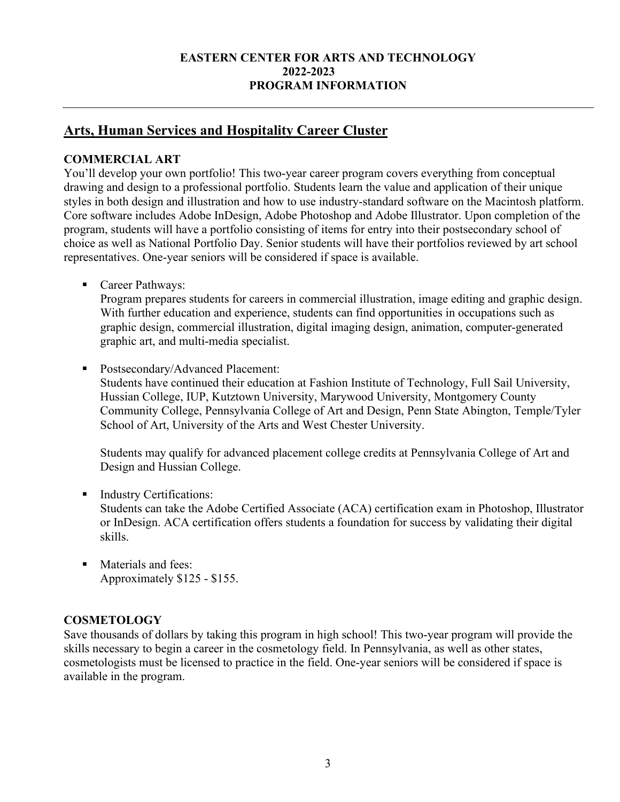#### **EASTERN CENTER FOR ARTS AND TECHNOLOGY 2022-2023 PROGRAM INFORMATION**

# **Arts, Human Services and Hospitality Career Cluster**

#### <span id="page-2-0"></span>**COMMERCIAL ART**

You'll develop your own portfolio! This two-year career program covers everything from conceptual drawing and design to a professional portfolio. Students learn the value and application of their unique styles in both design and illustration and how to use industry-standard software on the Macintosh platform. Core software includes Adobe InDesign, Adobe Photoshop and Adobe Illustrator. Upon completion of the program, students will have a portfolio consisting of items for entry into their postsecondary school of choice as well as National Portfolio Day. Senior students will have their portfolios reviewed by art school representatives. One-year seniors will be considered if space is available.

■ Career Pathways:

Program prepares students for careers in commercial illustration, image editing and graphic design. With further education and experience, students can find opportunities in occupations such as graphic design, commercial illustration, digital imaging design, animation, computer-generated graphic art, and multi-media specialist.

■ Postsecondary/Advanced Placement:

Students have continued their education at Fashion Institute of Technology, Full Sail University, Hussian College, IUP, Kutztown University, Marywood University, Montgomery County Community College, Pennsylvania College of Art and Design, Penn State Abington, Temple/Tyler School of Art, University of the Arts and West Chester University.

Students may qualify for advanced placement college credits at Pennsylvania College of Art and Design and Hussian College.

- Industry Certifications: Students can take the Adobe Certified Associate (ACA) certification exam in Photoshop, Illustrator or InDesign. ACA certification offers students a foundation for success by validating their digital skills.
- Materials and fees: Approximately \$125 - \$155.

#### <span id="page-2-1"></span>**COSMETOLOGY**

Save thousands of dollars by taking this program in high school! This two-year program will provide the skills necessary to begin a career in the cosmetology field. In Pennsylvania, as well as other states, cosmetologists must be licensed to practice in the field. One-year seniors will be considered if space is available in the program.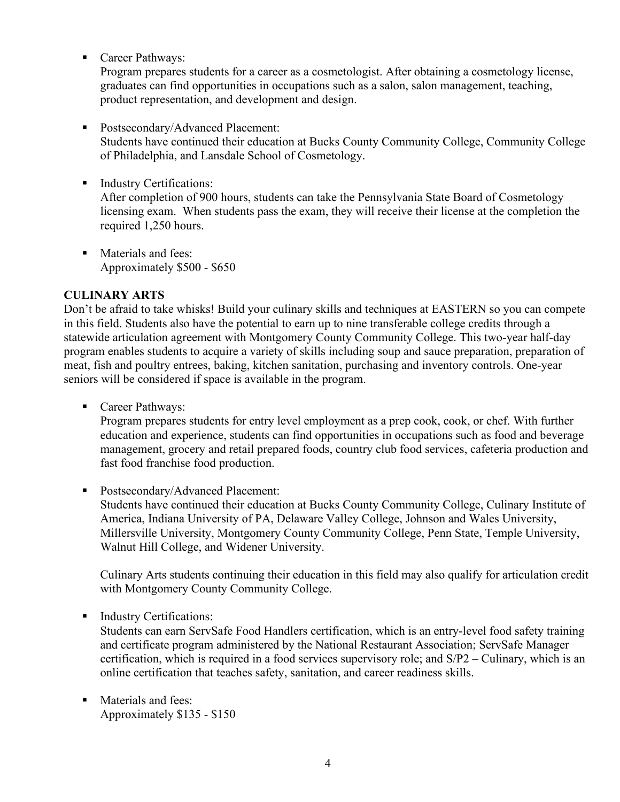■ Career Pathways:

Program prepares students for a career as a cosmetologist. After obtaining a cosmetology license, graduates can find opportunities in occupations such as a salon, salon management, teaching, product representation, and development and design.

#### **Postsecondary/Advanced Placement:**

Students have continued their education at Bucks County Community College, Community College of Philadelphia, and Lansdale School of Cosmetology.

**Industry Certifications:** 

After completion of 900 hours, students can take the Pennsylvania State Board of Cosmetology licensing exam. When students pass the exam, they will receive their license at the completion the required 1,250 hours.

**Materials and fees:** Approximately \$500 - \$650

#### <span id="page-3-0"></span>**CULINARY ARTS**

Don't be afraid to take whisks! Build your culinary skills and techniques at EASTERN so you can compete in this field. Students also have the potential to earn up to nine transferable college credits through a statewide articulation agreement with Montgomery County Community College. This two-year half-day program enables students to acquire a variety of skills including soup and sauce preparation, preparation of meat, fish and poultry entrees, baking, kitchen sanitation, purchasing and inventory controls. One-year seniors will be considered if space is available in the program.

■ Career Pathways:

Program prepares students for entry level employment as a prep cook, cook, or chef. With further education and experience, students can find opportunities in occupations such as food and beverage management, grocery and retail prepared foods, country club food services, cafeteria production and fast food franchise food production.

■ Postsecondary/Advanced Placement: Students have continued their education at Bucks County Community College, Culinary Institute of America, Indiana University of PA, Delaware Valley College, Johnson and Wales University, Millersville University, Montgomery County Community College, Penn State, Temple University, Walnut Hill College, and Widener University.

Culinary Arts students continuing their education in this field may also qualify for articulation credit with Montgomery County Community College.

**Industry Certifications:** 

Students can earn ServSafe Food Handlers certification, which is an entry-level food safety training and certificate program administered by the National Restaurant Association; ServSafe Manager certification, which is required in a food services supervisory role; and S/P2 – Culinary, which is an online certification that teaches safety, sanitation, and career readiness skills.

**Materials and fees:** Approximately \$135 - \$150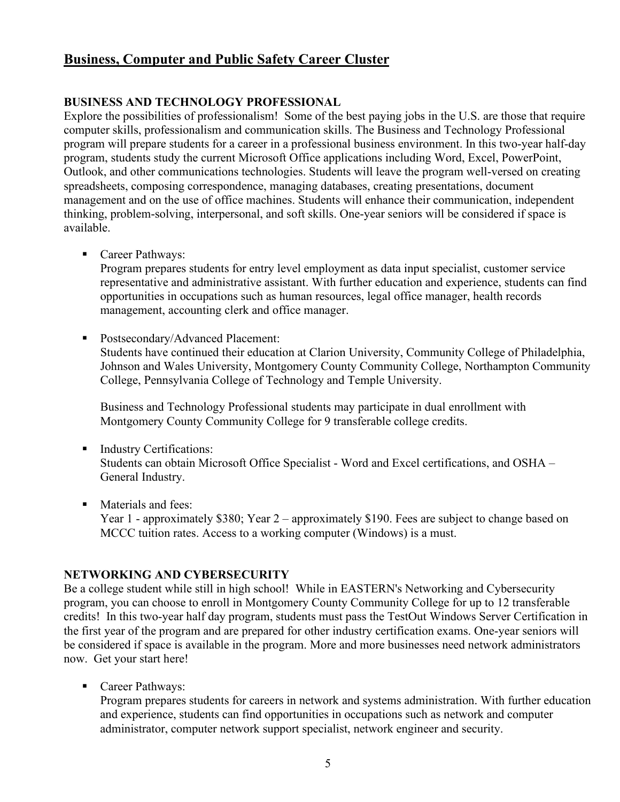# **Business, Computer and Public Safety Career Cluster**

#### <span id="page-4-0"></span>**BUSINESS AND TECHNOLOGY PROFESSIONAL**

Explore the possibilities of professionalism! Some of the best paying jobs in the U.S. are those that require computer skills, professionalism and communication skills. The Business and Technology Professional program will prepare students for a career in a professional business environment. In this two-year half-day program, students study the current Microsoft Office applications including Word, Excel, PowerPoint, Outlook, and other communications technologies. Students will leave the program well-versed on creating spreadsheets, composing correspondence, managing databases, creating presentations, document management and on the use of office machines. Students will enhance their communication, independent thinking, problem-solving, interpersonal, and soft skills. One-year seniors will be considered if space is available.

■ Career Pathways:

Program prepares students for entry level employment as data input specialist, customer service representative and administrative assistant. With further education and experience, students can find opportunities in occupations such as human resources, legal office manager, health records management, accounting clerk and office manager.

 Postsecondary/Advanced Placement: Students have continued their education at Clarion University, Community College of Philadelphia, Johnson and Wales University, Montgomery County Community College, Northampton Community College, Pennsylvania College of Technology and Temple University.

Business and Technology Professional students may participate in dual enrollment with Montgomery County Community College for 9 transferable college credits.

- **Industry Certifications:** Students can obtain Microsoft Office Specialist - Word and Excel certifications, and OSHA – General Industry.
- **Materials and fees:** Year 1 - approximately \$380; Year 2 – approximately \$190. Fees are subject to change based on MCCC tuition rates. Access to a working computer (Windows) is a must.

#### <span id="page-4-1"></span>**NETWORKING AND CYBERSECURITY**

Be a college student while still in high school! While in EASTERN's Networking and Cybersecurity program, you can choose to enroll in Montgomery County Community College for up to 12 transferable credits! In this two-year half day program, students must pass the TestOut Windows Server Certification in the first year of the program and are prepared for other industry certification exams. One-year seniors will be considered if space is available in the program. More and more businesses need network administrators now. Get your start here!

■ Career Pathways:

Program prepares students for careers in network and systems administration. With further education and experience, students can find opportunities in occupations such as network and computer administrator, computer network support specialist, network engineer and security.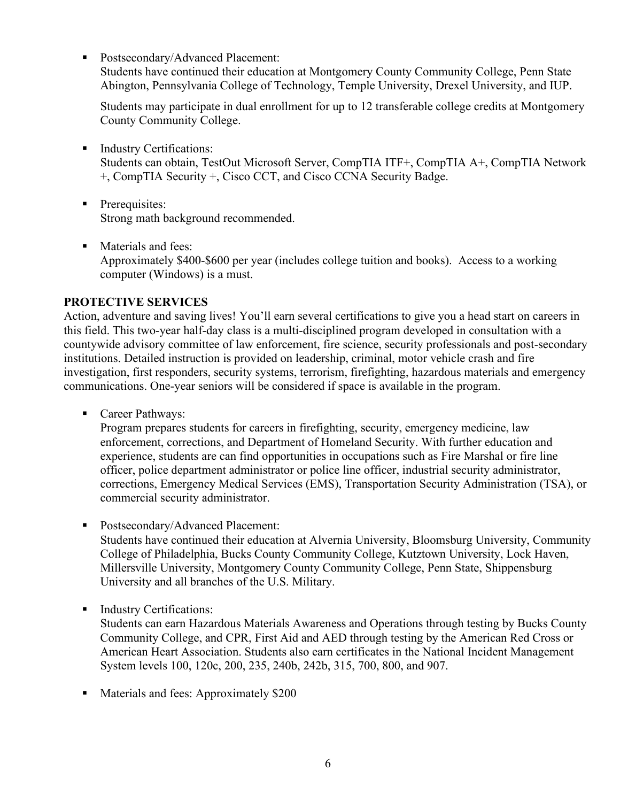■ Postsecondary/Advanced Placement:

Students have continued their education at Montgomery County Community College, Penn State Abington, Pennsylvania College of Technology, Temple University, Drexel University, and IUP.

Students may participate in dual enrollment for up to 12 transferable college credits at Montgomery County Community College.

**Industry Certifications:** 

Students can obtain, TestOut Microsoft Server, CompTIA ITF+, CompTIA A+, CompTIA Network +, CompTIA Security +, Cisco CCT, and Cisco CCNA Security Badge.

- **Prerequisites:** Strong math background recommended.
- **Materials and fees:** Approximately \$400-\$600 per year (includes college tuition and books). Access to a working computer (Windows) is a must.

#### <span id="page-5-0"></span>**PROTECTIVE SERVICES**

Action, adventure and saving lives! You'll earn several certifications to give you a head start on careers in this field. This two-year half-day class is a multi-disciplined program developed in consultation with a countywide advisory committee of law enforcement, fire science, security professionals and post-secondary institutions. Detailed instruction is provided on leadership, criminal, motor vehicle crash and fire investigation, first responders, security systems, terrorism, firefighting, hazardous materials and emergency communications. One-year seniors will be considered if space is available in the program.

■ Career Pathways:

Program prepares students for careers in firefighting, security, emergency medicine, law enforcement, corrections, and Department of Homeland Security. With further education and experience, students are can find opportunities in occupations such as Fire Marshal or fire line officer, police department administrator or police line officer, industrial security administrator, corrections, Emergency Medical Services (EMS), Transportation Security Administration (TSA), or commercial security administrator.

- Postsecondary/Advanced Placement: Students have continued their education at Alvernia University, Bloomsburg University, Community College of Philadelphia, Bucks County Community College, Kutztown University, Lock Haven, Millersville University, Montgomery County Community College, Penn State, Shippensburg University and all branches of the U.S. Military.
- **Industry Certifications:**

Students can earn Hazardous Materials Awareness and Operations through testing by Bucks County Community College, and CPR, First Aid and AED through testing by the American Red Cross or American Heart Association. Students also earn certificates in the National Incident Management System levels 100, 120c, 200, 235, 240b, 242b, 315, 700, 800, and 907.

Materials and fees: Approximately \$200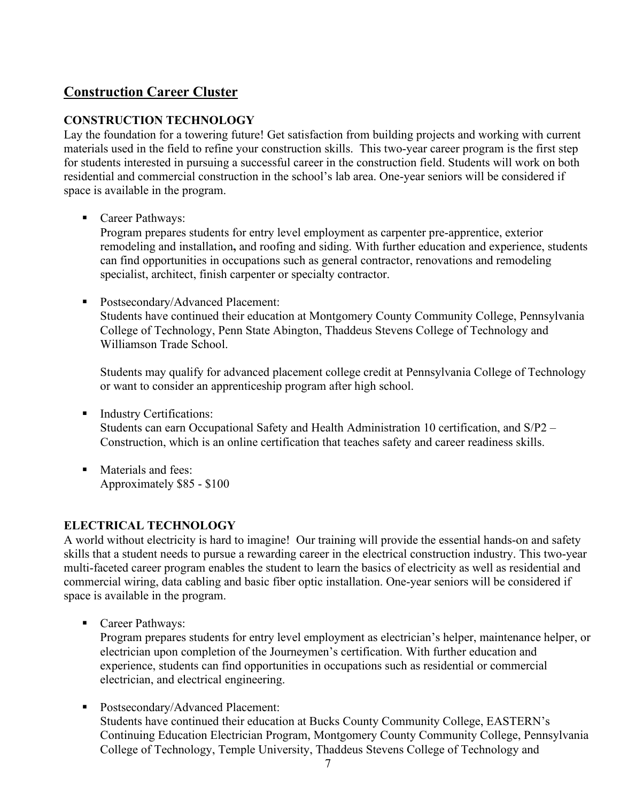# **Construction Career Cluster**

#### <span id="page-6-0"></span>**CONSTRUCTION TECHNOLOGY**

Lay the foundation for a towering future! Get satisfaction from building projects and working with current materials used in the field to refine your construction skills. This two-year career program is the first step for students interested in pursuing a successful career in the construction field. Students will work on both residential and commercial construction in the school's lab area. One-year seniors will be considered if space is available in the program.

■ Career Pathways:

Program prepares students for entry level employment as carpenter pre-apprentice, exterior remodeling and installation**,** and roofing and siding. With further education and experience, students can find opportunities in occupations such as general contractor, renovations and remodeling specialist, architect, finish carpenter or specialty contractor.

**Postsecondary/Advanced Placement:** Students have continued their education at Montgomery County Community College, Pennsylvania College of Technology, Penn State Abington, Thaddeus Stevens College of Technology and Williamson Trade School.

Students may qualify for advanced placement college credit at Pennsylvania College of Technology or want to consider an apprenticeship program after high school.

- **Industry Certifications:** Students can earn Occupational Safety and Health Administration 10 certification, and S/P2 – Construction, which is an online certification that teaches safety and career readiness skills.
- **Materials and fees:** Approximately \$85 - \$100

#### <span id="page-6-1"></span>**ELECTRICAL TECHNOLOGY**

A world without electricity is hard to imagine! Our training will provide the essential hands-on and safety skills that a student needs to pursue a rewarding career in the electrical construction industry. This two-year multi-faceted career program enables the student to learn the basics of electricity as well as residential and commercial wiring, data cabling and basic fiber optic installation. One-year seniors will be considered if space is available in the program.

■ Career Pathways:

Program prepares students for entry level employment as electrician's helper, maintenance helper, or electrician upon completion of the Journeymen's certification. With further education and experience, students can find opportunities in occupations such as residential or commercial electrician, and electrical engineering.

 Postsecondary/Advanced Placement: Students have continued their education at Bucks County Community College, EASTERN's Continuing Education Electrician Program, Montgomery County Community College, Pennsylvania College of Technology, Temple University, Thaddeus Stevens College of Technology and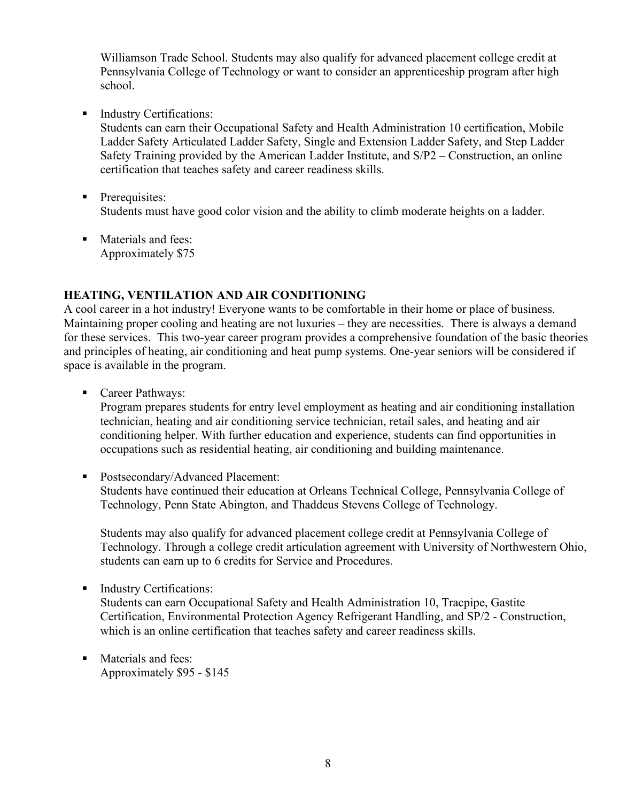Williamson Trade School. Students may also qualify for advanced placement college credit at Pennsylvania College of Technology or want to consider an apprenticeship program after high school.

**Industry Certifications:** 

Students can earn their Occupational Safety and Health Administration 10 certification, Mobile Ladder Safety Articulated Ladder Safety, Single and Extension Ladder Safety, and Step Ladder Safety Training provided by the American Ladder Institute, and S/P2 – Construction, an online certification that teaches safety and career readiness skills.

- **Prerequisites:** Students must have good color vision and the ability to climb moderate heights on a ladder.
- **Materials and fees:** Approximately \$75

#### <span id="page-7-0"></span>**HEATING, VENTILATION AND AIR CONDITIONING**

A cool career in a hot industry! Everyone wants to be comfortable in their home or place of business. Maintaining proper cooling and heating are not luxuries – they are necessities. There is always a demand for these services. This two-year career program provides a comprehensive foundation of the basic theories and principles of heating, air conditioning and heat pump systems. One-year seniors will be considered if space is available in the program.

■ Career Pathways:

Program prepares students for entry level employment as heating and air conditioning installation technician, heating and air conditioning service technician, retail sales, and heating and air conditioning helper. With further education and experience, students can find opportunities in occupations such as residential heating, air conditioning and building maintenance.

■ Postsecondary/Advanced Placement:

Students have continued their education at Orleans Technical College, Pennsylvania College of Technology, Penn State Abington, and Thaddeus Stevens College of Technology.

Students may also qualify for advanced placement college credit at Pennsylvania College of Technology. Through a college credit articulation agreement with University of Northwestern Ohio, students can earn up to 6 credits for Service and Procedures.

Industry Certifications:

Students can earn Occupational Safety and Health Administration 10, Tracpipe, Gastite Certification, Environmental Protection Agency Refrigerant Handling, and SP/2 - Construction, which is an online certification that teaches safety and career readiness skills.

**Materials and fees:** Approximately \$95 - \$145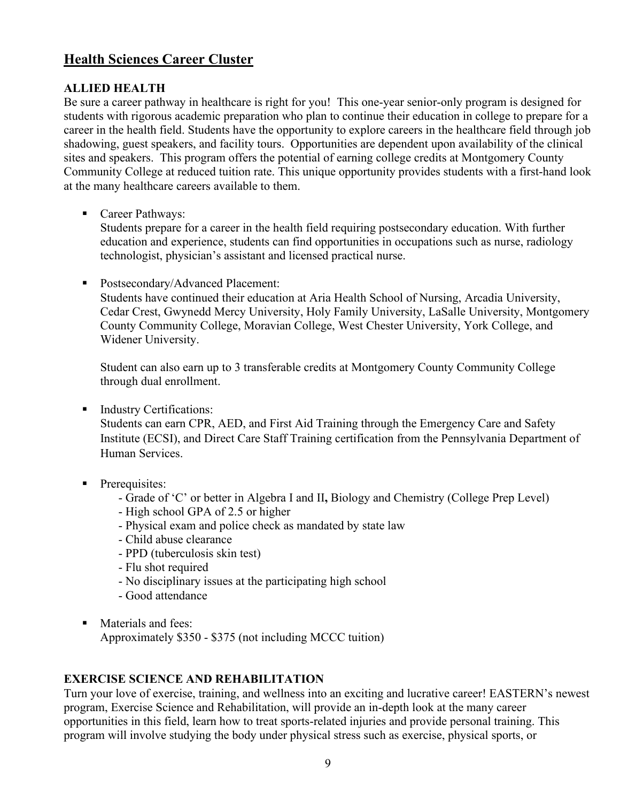# **Health Sciences Career Cluster**

#### <span id="page-8-0"></span>**ALLIED HEALTH**

Be sure a career pathway in healthcare is right for you! This one-year senior-only program is designed for students with rigorous academic preparation who plan to continue their education in college to prepare for a career in the health field. Students have the opportunity to explore careers in the healthcare field through job shadowing, guest speakers, and facility tours. Opportunities are dependent upon availability of the clinical sites and speakers. This program offers the potential of earning college credits at Montgomery County Community College at reduced tuition rate. This unique opportunity provides students with a first-hand look at the many healthcare careers available to them.

■ Career Pathways:

Students prepare for a career in the health field requiring postsecondary education. With further education and experience, students can find opportunities in occupations such as nurse, radiology technologist, physician's assistant and licensed practical nurse.

Postsecondary/Advanced Placement:

Students have continued their education at Aria Health School of Nursing, Arcadia University, Cedar Crest, Gwynedd Mercy University, Holy Family University, LaSalle University, Montgomery County Community College, Moravian College, West Chester University, York College, and Widener University.

Student can also earn up to 3 transferable credits at Montgomery County Community College through dual enrollment.

**Industry Certifications:** 

Students can earn CPR, AED, and First Aid Training through the Emergency Care and Safety Institute (ECSI), and Direct Care Staff Training certification from the Pennsylvania Department of Human Services.

- **Prerequisites:** 
	- Grade of 'C' or better in Algebra I and II**,** Biology and Chemistry (College Prep Level)
	- High school GPA of 2.5 or higher
	- Physical exam and police check as mandated by state law
	- Child abuse clearance
	- PPD (tuberculosis skin test)
	- Flu shot required
	- No disciplinary issues at the participating high school
	- Good attendance
- **Materials and fees:** Approximately \$350 - \$375 (not including MCCC tuition)

#### <span id="page-8-1"></span>**EXERCISE SCIENCE AND REHABILITATION**

Turn your love of exercise, training, and wellness into an exciting and lucrative career! EASTERN's newest program, Exercise Science and Rehabilitation, will provide an in-depth look at the many career opportunities in this field, learn how to treat sports-related injuries and provide personal training. This program will involve studying the body under physical stress such as exercise, physical sports, or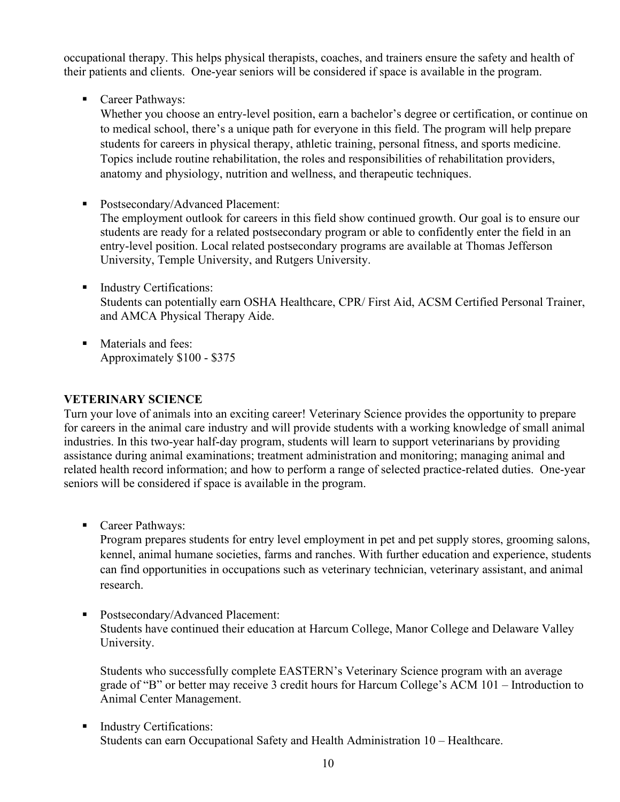occupational therapy. This helps physical therapists, coaches, and trainers ensure the safety and health of their patients and clients. One-year seniors will be considered if space is available in the program.

■ Career Pathways:

Whether you choose an entry-level position, earn a bachelor's degree or certification, or continue on to medical school, there's a unique path for everyone in this field. The program will help prepare students for careers in physical therapy, athletic training, personal fitness, and sports medicine. Topics include routine rehabilitation, the roles and responsibilities of rehabilitation providers, anatomy and physiology, nutrition and wellness, and therapeutic techniques.

- Postsecondary/Advanced Placement: The employment outlook for careers in this field show continued growth. Our goal is to ensure our students are ready for a related postsecondary program or able to confidently enter the field in an entry-level position. Local related postsecondary programs are available at Thomas Jefferson University, Temple University, and Rutgers University.
- **Industry Certifications:** Students can potentially earn OSHA Healthcare, CPR/ First Aid, ACSM Certified Personal Trainer, and AMCA Physical Therapy Aide.
- **Materials and fees:** Approximately \$100 - \$375

#### <span id="page-9-0"></span>**VETERINARY SCIENCE**

Turn your love of animals into an exciting career! Veterinary Science provides the opportunity to prepare for careers in the animal care industry and will provide students with a working knowledge of small animal industries. In this two-year half-day program, students will learn to support veterinarians by providing assistance during animal examinations; treatment administration and monitoring; managing animal and related health record information; and how to perform a range of selected practice-related duties. One-year seniors will be considered if space is available in the program.

■ Career Pathways:

Program prepares students for entry level employment in pet and pet supply stores, grooming salons, kennel, animal humane societies, farms and ranches. With further education and experience, students can find opportunities in occupations such as veterinary technician, veterinary assistant, and animal research.

■ Postsecondary/Advanced Placement: Students have continued their education at Harcum College, Manor College and Delaware Valley University.

Students who successfully complete EASTERN's Veterinary Science program with an average grade of "B" or better may receive 3 credit hours for Harcum College's ACM 101 – Introduction to Animal Center Management.

■ Industry Certifications: Students can earn Occupational Safety and Health Administration 10 – Healthcare.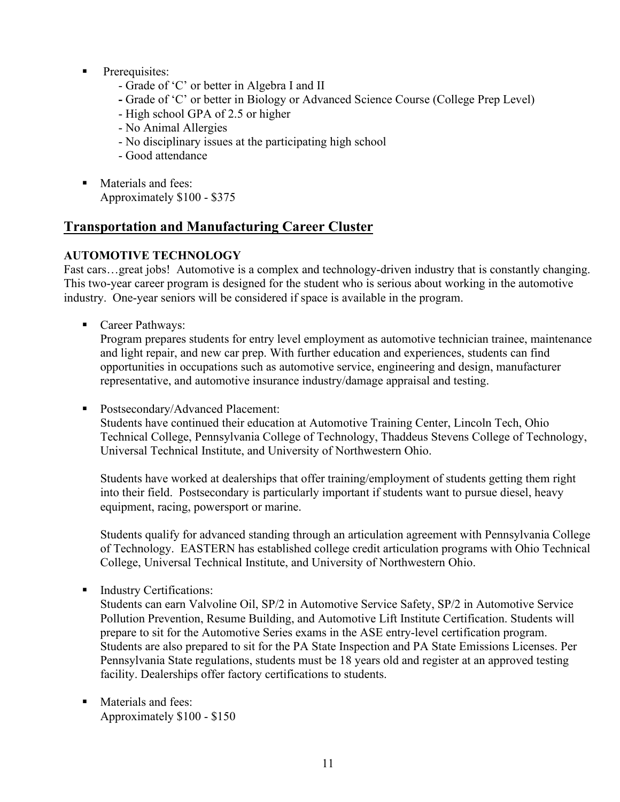- **Prerequisites:** 
	- Grade of 'C' or better in Algebra I and II
	- **-** Grade of 'C' or better in Biology or Advanced Science Course (College Prep Level)
	- High school GPA of 2.5 or higher
	- No Animal Allergies
	- No disciplinary issues at the participating high school
	- Good attendance
- **Materials and fees:** Approximately \$100 - \$375

# **Transportation and Manufacturing Career Cluster**

#### <span id="page-10-0"></span>**AUTOMOTIVE TECHNOLOGY**

Fast cars...great jobs! Automotive is a complex and technology-driven industry that is constantly changing. This two-year career program is designed for the student who is serious about working in the automotive industry. One-year seniors will be considered if space is available in the program.

■ Career Pathways:

Program prepares students for entry level employment as automotive technician trainee, maintenance and light repair, and new car prep. With further education and experiences, students can find opportunities in occupations such as automotive service, engineering and design, manufacturer representative, and automotive insurance industry/damage appraisal and testing.

■ Postsecondary/Advanced Placement:

Students have continued their education at Automotive Training Center, Lincoln Tech, Ohio Technical College, Pennsylvania College of Technology, Thaddeus Stevens College of Technology, Universal Technical Institute, and University of Northwestern Ohio.

Students have worked at dealerships that offer training/employment of students getting them right into their field. Postsecondary is particularly important if students want to pursue diesel, heavy equipment, racing, powersport or marine.

Students qualify for advanced standing through an articulation agreement with Pennsylvania College of Technology. EASTERN has established college credit articulation programs with Ohio Technical College, Universal Technical Institute, and University of Northwestern Ohio.

**Industry Certifications:** 

Students can earn Valvoline Oil, SP/2 in Automotive Service Safety, SP/2 in Automotive Service Pollution Prevention, Resume Building, and Automotive Lift Institute Certification. Students will prepare to sit for the Automotive Series exams in the ASE entry-level certification program. Students are also prepared to sit for the PA State Inspection and PA State Emissions Licenses. Per Pennsylvania State regulations, students must be 18 years old and register at an approved testing facility. Dealerships offer factory certifications to students.

**Materials and fees:** Approximately \$100 - \$150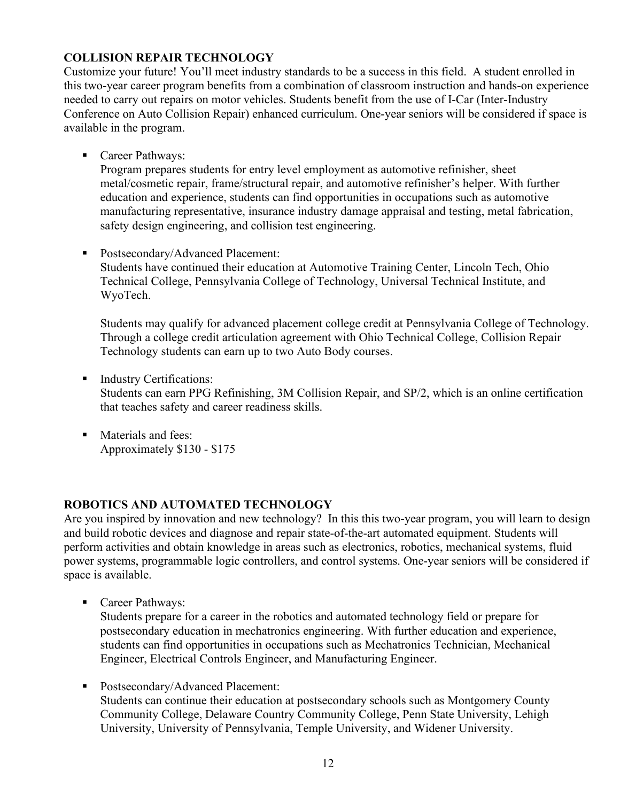#### <span id="page-11-0"></span>**COLLISION REPAIR TECHNOLOGY**

Customize your future! You'll meet industry standards to be a success in this field. A student enrolled in this two-year career program benefits from a combination of classroom instruction and hands-on experience needed to carry out repairs on motor vehicles. Students benefit from the use of I-Car (Inter-Industry Conference on Auto Collision Repair) enhanced curriculum. One-year seniors will be considered if space is available in the program.

■ Career Pathways:

Program prepares students for entry level employment as automotive refinisher, sheet metal/cosmetic repair, frame/structural repair, and automotive refinisher's helper. With further education and experience, students can find opportunities in occupations such as automotive manufacturing representative, insurance industry damage appraisal and testing, metal fabrication, safety design engineering, and collision test engineering.

■ Postsecondary/Advanced Placement:

Students have continued their education at Automotive Training Center, Lincoln Tech, Ohio Technical College, Pennsylvania College of Technology, Universal Technical Institute, and WyoTech.

Students may qualify for advanced placement college credit at Pennsylvania College of Technology. Through a college credit articulation agreement with Ohio Technical College, Collision Repair Technology students can earn up to two Auto Body courses.

- **Industry Certifications:** Students can earn PPG Refinishing, 3M Collision Repair, and SP/2, which is an online certification that teaches safety and career readiness skills.
- **Materials and fees:** Approximately \$130 - \$175

#### <span id="page-11-1"></span>**ROBOTICS AND AUTOMATED TECHNOLOGY**

Are you inspired by innovation and new technology? In this this two-year program, you will learn to design and build robotic devices and diagnose and repair state-of-the-art automated equipment. Students will perform activities and obtain knowledge in areas such as electronics, robotics, mechanical systems, fluid power systems, programmable logic controllers, and control systems. One-year seniors will be considered if space is available.

■ Career Pathways:

Students prepare for a career in the robotics and automated technology field or prepare for postsecondary education in mechatronics engineering. With further education and experience, students can find opportunities in occupations such as Mechatronics Technician, Mechanical Engineer, Electrical Controls Engineer, and Manufacturing Engineer.

**Postsecondary/Advanced Placement:** Students can continue their education at postsecondary schools such as Montgomery County Community College, Delaware Country Community College, Penn State University, Lehigh University, University of Pennsylvania, Temple University, and Widener University.